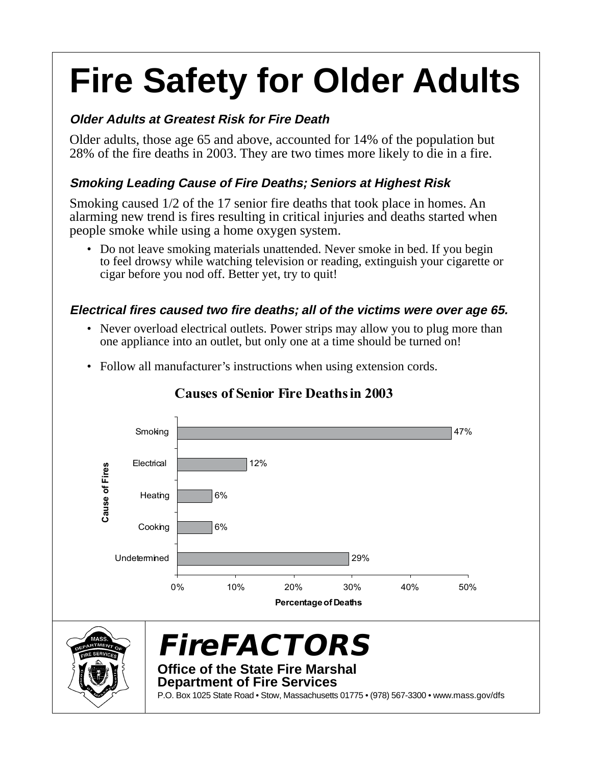# **Fire Safety for Older Adults**

## **Older Adults at Greatest Risk for Fire Death**

Older adults, those age 65 and above, accounted for 14% of the population but 28% of the fire deaths in 2003. They are two times more likely to die in a fire.

## **Smoking Leading Cause of Fire Deaths; Seniors at Highest Risk**

Smoking caused 1/2 of the 17 senior fire deaths that took place in homes. An alarming new trend is fires resulting in critical injuries and deaths started when people smoke while using a home oxygen system.

• Do not leave smoking materials unattended. Never smoke in bed. If you begin to feel drowsy while watching television or reading, extinguish your cigarette or cigar before you nod off. Better yet, try to quit!

#### **Electrical fires caused two fire deaths; all of the victims were over age 65.**

- Never overload electrical outlets. Power strips may allow you to plug more than one appliance into an outlet, but only one at a time should be turned on!
- Follow all manufacturer's instructions when using extension cords.



## **Causes of Senior Fire Deaths in 2003**